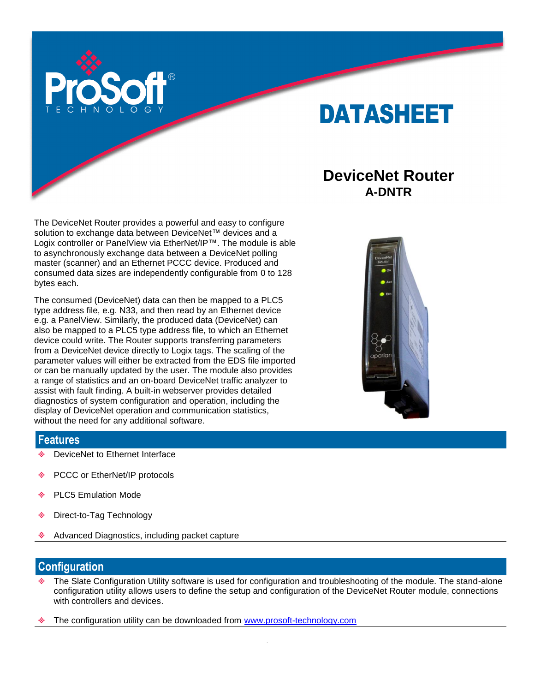

# DATASHEET

## **DeviceNet Router A-DNTR**

The DeviceNet Router provides a powerful and easy to configure solution to exchange data between DeviceNet™ devices and a Logix controller or PanelView via EtherNet/IP™. The module is able to asynchronously exchange data between a DeviceNet polling master (scanner) and an Ethernet PCCC device. Produced and consumed data sizes are independently configurable from 0 to 128 bytes each.

The consumed (DeviceNet) data can then be mapped to a PLC5 type address file, e.g. N33, and then read by an Ethernet device e.g. a PanelView. Similarly, the produced data (DeviceNet) can also be mapped to a PLC5 type address file, to which an Ethernet device could write. The Router supports transferring parameters from a DeviceNet device directly to Logix tags. The scaling of the parameter values will either be extracted from the EDS file imported or can be manually updated by the user. The module also provides a range of statistics and an on-board DeviceNet traffic analyzer to assist with fault finding. A built-in webserver provides detailed diagnostics of system configuration and operation, including the display of DeviceNet operation and communication statistics, without the need for any additional software.



### **Features**

- DeviceNet to Ethernet Interface
- ŵ. PCCC or EtherNet/IP protocols
- PLC5 Emulation Mode de.
- ٠ Direct-to-Tag Technology
- Advanced Diagnostics, including packet capture

#### **Configuration**

- The Slate Configuration Utility software is used for configuration and troubleshooting of the module. The stand-alone configuration utility allows users to define the setup and configuration of the DeviceNet Router module, connections with controllers and devices.
- The configuration utility can be downloaded from [www.prosoft-technology.com](http://www.prosoft-technology.com/)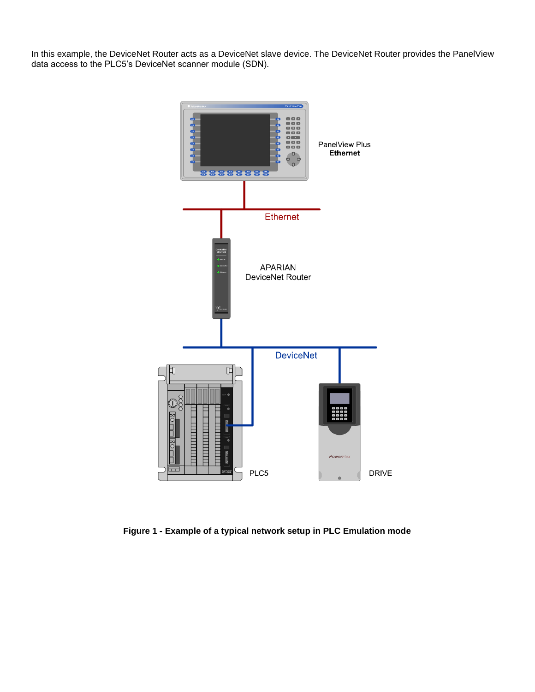In this example, the DeviceNet Router acts as a DeviceNet slave device. The DeviceNet Router provides the PanelView data access to the PLC5's DeviceNet scanner module (SDN).



**Figure 1 - Example of a typical network setup in PLC Emulation mode**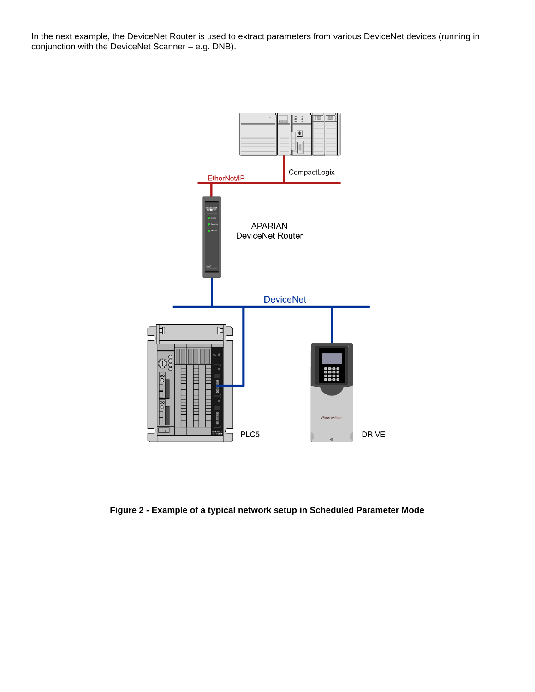In the next example, the DeviceNet Router is used to extract parameters from various DeviceNet devices (running in conjunction with the DeviceNet Scanner – e.g. DNB).



**Figure 2 - Example of a typical network setup in Scheduled Parameter Mode**